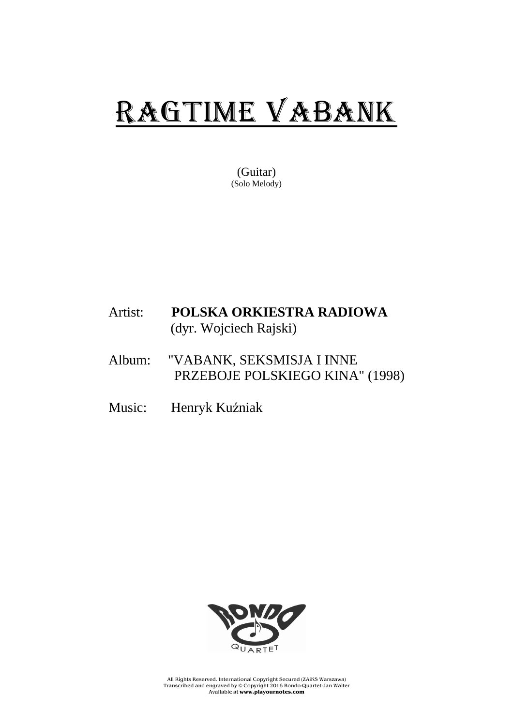## RAGTIME VABANK

(Guitar) (Solo Melody)

## Artist: **POLSKA ORKIESTRA RADIOWA** (dyr. Wojciech Rajski)

- Album: "VABANK, SEKSMISJA I INNE PRZEBOJE POLSKIEGO KINA" (1998)
- Music: Henryk Kuźniak



All Rights Reserved. International Copyright Secured (ZAiKS Warszawa) Transcribed and engraved by © Copyright 2016 Rondo-Quartet-Jan Walter Available at **www.playournotes.com**